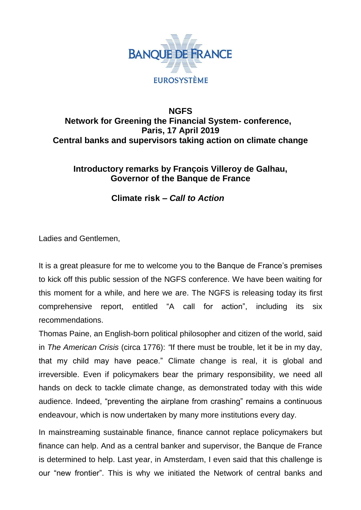

## **NGFS Network for Greening the Financial System- conference, Paris, 17 April 2019 Central banks and supervisors taking action on climate change**

### **Introductory remarks by François Villeroy de Galhau, Governor of the Banque de France**

**Climate risk –** *Call to Action*

Ladies and Gentlemen,

It is a great pleasure for me to welcome you to the Banque de France's premises to kick off this public session of the NGFS conference. We have been waiting for this moment for a while, and here we are. The NGFS is releasing today its first comprehensive report, entitled "A call for action", including its six recommendations.

Thomas Paine, an English-born political philosopher and citizen of the world, said in *The American Crisis* (circa 1776): *"*If there must be trouble, let it be in my day, that my child may have peace." Climate change is real, it is global and irreversible. Even if policymakers bear the primary responsibility, we need all hands on deck to tackle climate change, as demonstrated today with this wide audience. Indeed, "preventing the airplane from crashing" remains a continuous endeavour, which is now undertaken by many more institutions every day.

In mainstreaming sustainable finance, finance cannot replace policymakers but finance can help. And as a central banker and supervisor, the Banque de France is determined to help. Last year, in Amsterdam, I even said that this challenge is our "new frontier". This is why we initiated the Network of central banks and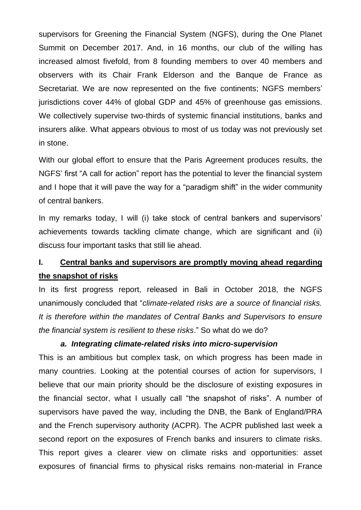supervisors for Greening the Financial System (NGFS), during the One Planet Summit on December 2017. And, in 16 months, our club of the willing has increased almost fivefold, from 8 founding members to over 40 members and observers with its Chair Frank Elderson and the Banque de France as Secretariat. We are now represented on the five continents; NGFS members' jurisdictions cover 44% of global GDP and 45% of greenhouse gas emissions. We collectively supervise two-thirds of systemic financial institutions, banks and insurers alike. What appears obvious to most of us today was not previously set in stone.

With our global effort to ensure that the Paris Agreement produces results, the NGFS' first "A call for action" report has the potential to lever the financial system and I hope that it will pave the way for a "paradigm shift" in the wider community of central bankers.

In my remarks today, I will (i) take stock of central bankers and supervisors' achievements towards tackling climate change, which are significant and (ii) discuss four important tasks that still lie ahead.

# **I. Central banks and supervisors are promptly moving ahead regarding the snapshot of risks**

In its first progress report, released in Bali in October 2018, the NGFS unanimously concluded that "*climate-related risks are a source of financial risks. It is therefore within the mandates of Central Banks and Supervisors to ensure the financial system is resilient to these risks*." So what do we do?

#### *a. Integrating climate-related risks into micro-supervision*

This is an ambitious but complex task, on which progress has been made in many countries. Looking at the potential courses of action for supervisors, I believe that our main priority should be the disclosure of existing exposures in the financial sector, what I usually call "the snapshot of risks". A number of supervisors have paved the way, including the DNB, the Bank of England/PRA and the French supervisory authority (ACPR). The ACPR published last week a second report on the exposures of French banks and insurers to climate risks. This report gives a clearer view on climate risks and opportunities: asset exposures of financial firms to physical risks remains non-material in France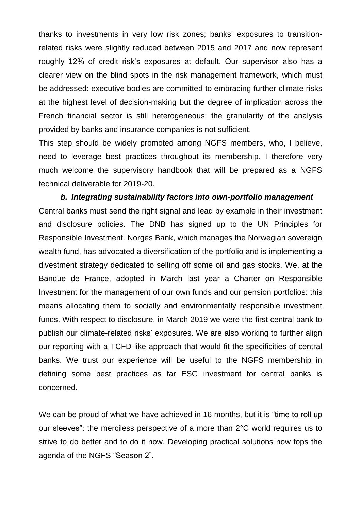thanks to investments in very low risk zones; banks' exposures to transitionrelated risks were slightly reduced between 2015 and 2017 and now represent roughly 12% of credit risk's exposures at default. Our supervisor also has a clearer view on the blind spots in the risk management framework, which must be addressed: executive bodies are committed to embracing further climate risks at the highest level of decision-making but the degree of implication across the French financial sector is still heterogeneous; the granularity of the analysis provided by banks and insurance companies is not sufficient.

This step should be widely promoted among NGFS members, who, I believe, need to leverage best practices throughout its membership. I therefore very much welcome the supervisory handbook that will be prepared as a NGFS technical deliverable for 2019-20.

*b. Integrating sustainability factors into own-portfolio management* Central banks must send the right signal and lead by example in their investment and disclosure policies. The DNB has signed up to the UN Principles for Responsible Investment. Norges Bank, which manages the Norwegian sovereign wealth fund, has advocated a diversification of the portfolio and is implementing a divestment strategy dedicated to selling off some oil and gas stocks. We, at the Banque de France, adopted in March last year a Charter on Responsible Investment for the management of our own funds and our pension portfolios: this means allocating them to socially and environmentally responsible investment funds. With respect to disclosure, in March 2019 we were the first central bank to publish our climate-related risks' exposures. We are also working to further align our reporting with a TCFD-like approach that would fit the specificities of central banks. We trust our experience will be useful to the NGFS membership in defining some best practices as far ESG investment for central banks is concerned.

We can be proud of what we have achieved in 16 months, but it is "time to roll up our sleeves": the merciless perspective of a more than 2°C world requires us to strive to do better and to do it now. Developing practical solutions now tops the agenda of the NGFS "Season 2".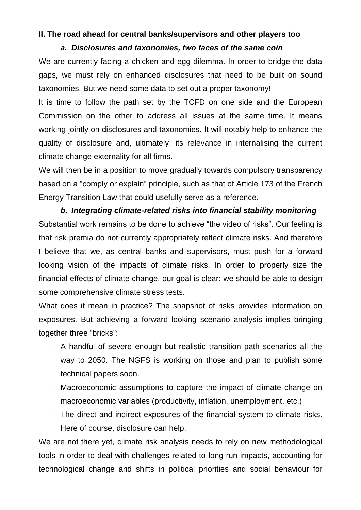#### **II. The road ahead for central banks/supervisors and other players too**

#### *a. Disclosures and taxonomies, two faces of the same coin*

We are currently facing a chicken and egg dilemma. In order to bridge the data gaps, we must rely on enhanced disclosures that need to be built on sound taxonomies. But we need some data to set out a proper taxonomy!

It is time to follow the path set by the TCFD on one side and the European Commission on the other to address all issues at the same time. It means working jointly on disclosures and taxonomies. It will notably help to enhance the quality of disclosure and, ultimately, its relevance in internalising the current climate change externality for all firms.

We will then be in a position to move gradually towards compulsory transparency based on a "comply or explain" principle, such as that of Article 173 of the French Energy Transition Law that could usefully serve as a reference.

# *b. Integrating climate-related risks into financial stability monitoring* Substantial work remains to be done to achieve "the video of risks". Our feeling is that risk premia do not currently appropriately reflect climate risks. And therefore I believe that we, as central banks and supervisors, must push for a forward

looking vision of the impacts of climate risks. In order to properly size the financial effects of climate change, our goal is clear: we should be able to design some comprehensive climate stress tests.

What does it mean in practice? The snapshot of risks provides information on exposures. But achieving a forward looking scenario analysis implies bringing together three "bricks":

- A handful of severe enough but realistic transition path scenarios all the way to 2050. The NGFS is working on those and plan to publish some technical papers soon.
- Macroeconomic assumptions to capture the impact of climate change on macroeconomic variables (productivity, inflation, unemployment, etc.)
- The direct and indirect exposures of the financial system to climate risks. Here of course, disclosure can help.

We are not there yet, climate risk analysis needs to rely on new methodological tools in order to deal with challenges related to long-run impacts, accounting for technological change and shifts in political priorities and social behaviour for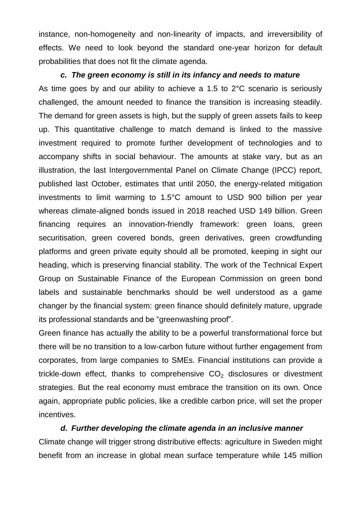instance, non-homogeneity and non-linearity of impacts, and irreversibility of effects. We need to look beyond the standard one-year horizon for default probabilities that does not fit the climate agenda.

#### *c. The green economy is still in its infancy and needs to mature*

As time goes by and our ability to achieve a 1.5 to 2°C scenario is seriously challenged, the amount needed to finance the transition is increasing steadily. The demand for green assets is high, but the supply of green assets fails to keep up. This quantitative challenge to match demand is linked to the massive investment required to promote further development of technologies and to accompany shifts in social behaviour. The amounts at stake vary, but as an illustration, the last Intergovernmental Panel on Climate Change (IPCC) report, published last October, estimates that until 2050, the energy-related mitigation investments to limit warming to 1.5°C amount to USD 900 billion per year whereas climate-aligned bonds issued in 2018 reached USD 149 billion. Green financing requires an innovation-friendly framework: green loans, green securitisation, green covered bonds, green derivatives, green crowdfunding platforms and green private equity should all be promoted, keeping in sight our heading, which is preserving financial stability. The work of the Technical Expert Group on Sustainable Finance of the European Commission on green bond labels and sustainable benchmarks should be well understood as a game changer by the financial system: green finance should definitely mature, upgrade its professional standards and be "greenwashing proof".

Green finance has actually the ability to be a powerful transformational force but there will be no transition to a low-carbon future without further engagement from corporates, from large companies to SMEs. Financial institutions can provide a trickle-down effect, thanks to comprehensive  $CO<sub>2</sub>$  disclosures or divestment strategies. But the real economy must embrace the transition on its own. Once again, appropriate public policies, like a credible carbon price, will set the proper incentives.

#### *d. Further developing the climate agenda in an inclusive manner*

Climate change will trigger strong distributive effects: agriculture in Sweden might benefit from an increase in global mean surface temperature while 145 million